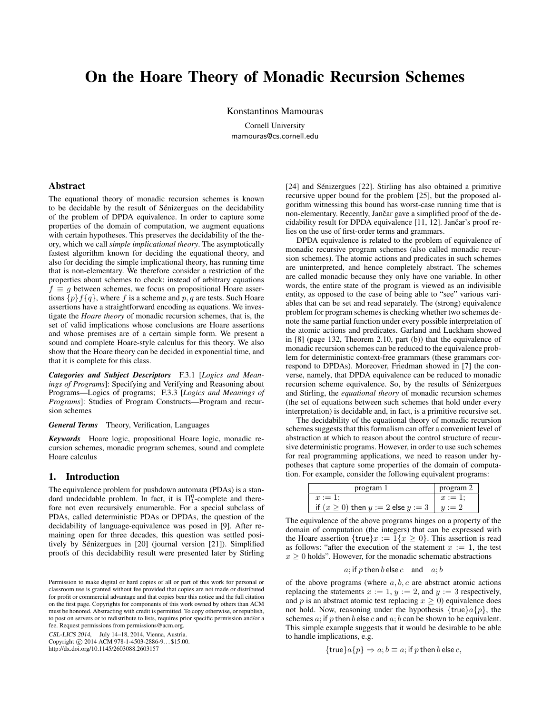# On the Hoare Theory of Monadic Recursion Schemes

Konstantinos Mamouras

Cornell University mamouras@cs.cornell.edu

## Abstract

The equational theory of monadic recursion schemes is known to be decidable by the result of Sénizergues on the decidability of the problem of DPDA equivalence. In order to capture some properties of the domain of computation, we augment equations with certain hypotheses. This preserves the decidability of the theory, which we call *simple implicational theory*. The asymptotically fastest algorithm known for deciding the equational theory, and also for deciding the simple implicational theory, has running time that is non-elementary. We therefore consider a restriction of the properties about schemes to check: instead of arbitrary equations  $f \equiv q$  between schemes, we focus on propositional Hoare assertions  $\{p\}f\{q\}$ , where f is a scheme and p, q are tests. Such Hoare assertions have a straightforward encoding as equations. We investigate the *Hoare theory* of monadic recursion schemes, that is, the set of valid implications whose conclusions are Hoare assertions and whose premises are of a certain simple form. We present a sound and complete Hoare-style calculus for this theory. We also show that the Hoare theory can be decided in exponential time, and that it is complete for this class.

*Categories and Subject Descriptors* F.3.1 [*Logics and Meanings of Programs*]: Specifying and Verifying and Reasoning about Programs—Logics of programs; F.3.3 [*Logics and Meanings of Programs*]: Studies of Program Constructs—Program and recursion schemes

# *General Terms* Theory, Verification, Languages

*Keywords* Hoare logic, propositional Hoare logic, monadic recursion schemes, monadic program schemes, sound and complete Hoare calculus

## 1. Introduction

The equivalence problem for pushdown automata (PDAs) is a standard undecidable problem. In fact, it is  $\Pi_1^0$ -complete and therefore not even recursively enumerable. For a special subclass of PDAs, called deterministic PDAs or DPDAs, the question of the decidability of language-equivalence was posed in [9]. After remaining open for three decades, this question was settled positively by Senizergues in [20] (journal version [21]). Simplified ´ proofs of this decidability result were presented later by Stirling

CSL-LICS 2014, July 14–18, 2014, Vienna, Austria.

Copyright © 2014 ACM 978-1-4503-2886-9... \$15.00. http://dx.doi.org/10.1145/2603088.2603157

[24] and Sénizergues [22]. Stirling has also obtained a primitive recursive upper bound for the problem [25], but the proposed algorithm witnessing this bound has worst-case running time that is non-elementary. Recently, Jančar gave a simplified proof of the decidability result for DPDA equivalence [11, 12]. Jančar's proof relies on the use of first-order terms and grammars.

DPDA equivalence is related to the problem of equivalence of monadic recursive program schemes (also called monadic recursion schemes). The atomic actions and predicates in such schemes are uninterpreted, and hence completely abstract. The schemes are called monadic because they only have one variable. In other words, the entire state of the program is viewed as an indivisible entity, as opposed to the case of being able to "see" various variables that can be set and read separately. The (strong) equivalence problem for program schemes is checking whether two schemes denote the same partial function under every possible interpretation of the atomic actions and predicates. Garland and Luckham showed in [8] (page 132, Theorem 2.10, part (b)) that the equivalence of monadic recursion schemes can be reduced to the equivalence problem for deterministic context-free grammars (these grammars correspond to DPDAs). Moreover, Friedman showed in [7] the converse, namely, that DPDA equivalence can be reduced to monadic recursion scheme equivalence. So, by the results of Senizergues ´ and Stirling, the *equational theory* of monadic recursion schemes (the set of equations between such schemes that hold under every interpretation) is decidable and, in fact, is a primitive recursive set.

The decidability of the equational theory of monadic recursion schemes suggests that this formalism can offer a convenient level of abstraction at which to reason about the control structure of recursive deterministic programs. However, in order to use such schemes for real programming applications, we need to reason under hypotheses that capture some properties of the domain of computation. For example, consider the following equivalent programs:

| program 1                                | program 2 |
|------------------------------------------|-----------|
| $x:=1$ ;                                 | $x:=1$    |
| if $(x > 0)$ then $y := 2$ else $y := 3$ | $y := 2$  |

The equivalence of the above programs hinges on a property of the domain of computation (the integers) that can be expressed with the Hoare assertion  $\{\text{true}\}\text{ }x := 1\{x \geq 0\}$ . This assertion is read as follows: "after the execution of the statement  $x := 1$ , the test  $x > 0$  holds". However, for the monadic schematic abstractions

a; if p then b else c and a; b

of the above programs (where  $a, b, c$  are abstract atomic actions replacing the statements  $x := 1$ ,  $y := 2$ , and  $y := 3$  respectively, and p is an abstract atomic test replacing  $x \ge 0$ ) equivalence does not hold. Now, reasoning under the hypothesis  $\{\text{true}\}_{a\{p\},\}$  the schemes  $a$ ; if p then  $b$  else  $c$  and  $a$ ;  $b$  can be shown to be equivalent. This simple example suggests that it would be desirable to be able to handle implications, e.g.

$$
[\mathsf{true}\}a\{p\}\Rightarrow a; b\equiv a; \mathsf{if}\ p\,\mathsf{then}\ b\,\mathsf{else}\ c,
$$

Permission to make digital or hard copies of all or part of this work for personal or classroom use is granted without fee provided that copies are not made or distributed for profit or commercial advantage and that copies bear this notice and the full citation on the first page. Copyrights for components of this work owned by others than ACM must be honored. Abstracting with credit is permitted. To copy otherwise, or republish, to post on servers or to redistribute to lists, requires prior specific permission and/or a fee. Request permissions from permissions@acm.org.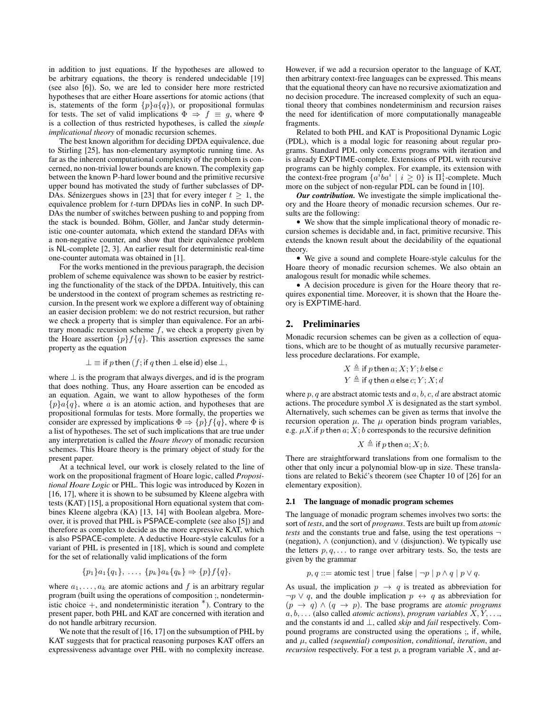in addition to just equations. If the hypotheses are allowed to be arbitrary equations, the theory is rendered undecidable [19] (see also [6]). So, we are led to consider here more restricted hypotheses that are either Hoare assertions for atomic actions (that is, statements of the form  $\{p\}a\{q\}$ , or propositional formulas for tests. The set of valid implications  $\Phi \Rightarrow f \equiv g$ , where  $\Phi$ is a collection of thus restricted hypotheses, is called the *simple implicational theory* of monadic recursion schemes.

The best known algorithm for deciding DPDA equivalence, due to Stirling [25], has non-elementary asymptotic running time. As far as the inherent computational complexity of the problem is concerned, no non-trivial lower bounds are known. The complexity gap between the known P-hard lower bound and the primitive recursive upper bound has motivated the study of further subclasses of DP-DAs. Sénizergues shows in [23] that for every integer  $t \geq 1$ , the equivalence problem for t-turn DPDAs lies in coNP. In such DP-DAs the number of switches between pushing to and popping from the stack is bounded. Böhm, Göller, and Jančar study deterministic one-counter automata, which extend the standard DFAs with a non-negative counter, and show that their equivalence problem is NL-complete [2, 3]. An earlier result for deterministic real-time one-counter automata was obtained in [1].

For the works mentioned in the previous paragraph, the decision problem of scheme equivalence was shown to be easier by restricting the functionality of the stack of the DPDA. Intuitively, this can be understood in the context of program schemes as restricting recursion. In the present work we explore a different way of obtaining an easier decision problem: we do not restrict recursion, but rather we check a property that is simpler than equivalence. For an arbitrary monadic recursion scheme  $f$ , we check a property given by the Hoare assertion  $\{p\}f\{q\}$ . This assertion expresses the same property as the equation

### $\perp \equiv$  if p then  $(f;$  if q then  $\perp$  else id) else  $\perp$ ,

where  $\perp$  is the program that always diverges, and id is the program that does nothing. Thus, any Hoare assertion can be encoded as an equation. Again, we want to allow hypotheses of the form  ${p}a{q}$ , where a is an atomic action, and hypotheses that are propositional formulas for tests. More formally, the properties we consider are expressed by implications  $\Phi \Rightarrow \{p\} f \{q\}$ , where  $\Phi$  is a list of hypotheses. The set of such implications that are true under any interpretation is called the *Hoare theory* of monadic recursion schemes. This Hoare theory is the primary object of study for the present paper.

At a technical level, our work is closely related to the line of work on the propositional fragment of Hoare logic, called *Propositional Hoare Logic* or PHL. This logic was introduced by Kozen in [16, 17], where it is shown to be subsumed by Kleene algebra with tests (KAT) [15], a propositional Horn equational system that combines Kleene algebra (KA) [13, 14] with Boolean algebra. Moreover, it is proved that PHL is PSPACE-complete (see also [5]) and therefore as complex to decide as the more expressive KAT, which is also PSPACE-complete. A deductive Hoare-style calculus for a variant of PHL is presented in [18], which is sound and complete for the set of relationally valid implications of the form

$$
\{p_1\}a_1\{q_1\},\ldots,\{p_k\}a_k\{q_k\}\Rightarrow \{p\}f\{q\},\
$$

where  $a_1, \ldots, a_k$  are atomic actions and f is an arbitrary regular program (built using the operations of composition ;, nondeterministic choice <sup>+</sup>, and nondeterministic iteration <sup>∗</sup> ). Contrary to the present paper, both PHL and KAT are concerned with iteration and do not handle arbitrary recursion.

We note that the result of [16, 17] on the subsumption of PHL by KAT suggests that for practical reasoning purposes KAT offers an expressiveness advantage over PHL with no complexity increase.

However, if we add a recursion operator to the language of KAT, then arbitrary context-free languages can be expressed. This means that the equational theory can have no recursive axiomatization and no decision procedure. The increased complexity of such an equational theory that combines nondeterminism and recursion raises the need for identification of more computationally manageable fragments.

Related to both PHL and KAT is Propositional Dynamic Logic (PDL), which is a modal logic for reasoning about regular programs. Standard PDL only concerns programs with iteration and is already EXPTIME-complete. Extensions of PDL with recursive programs can be highly complex. For example, its extension with the context-free program  $\{a^iba^i \mid i \geq 0\}$  is  $\Pi^1_1$ -complete. Much more on the subject of non-regular PDL can be found in [10].

*Our contribution.* We investigate the simple implicational theory and the Hoare theory of monadic recursion schemes. Our results are the following:

• We show that the simple implicational theory of monadic recursion schemes is decidable and, in fact, primitive recursive. This extends the known result about the decidability of the equational theory.

• We give a sound and complete Hoare-style calculus for the Hoare theory of monadic recursion schemes. We also obtain an analogous result for monadic while schemes.

• A decision procedure is given for the Hoare theory that requires exponential time. Moreover, it is shown that the Hoare theory is EXPTIME-hard.

#### 2. Preliminaries

Monadic recursion schemes can be given as a collection of equations, which are to be thought of as mutually recursive parameterless procedure declarations. For example,

$$
X \triangleq \text{if } p \text{ then } a; X; Y; b \text{ else } c
$$

$$
Y \triangleq \text{if } q \text{ then } a \text{ else } c; Y; X; d
$$

where  $p, q$  are abstract atomic tests and  $a, b, c, d$  are abstract atomic actions. The procedure symbol  $X$  is designated as the start symbol. Alternatively, such schemes can be given as terms that involve the recursion operation  $\mu$ . The  $\mu$  operation binds program variables, e.g.  $\mu X$ . if p then  $a; X; b$  corresponds to the recursive definition

$$
X \triangleq \text{if } p \text{ then } a; X; b.
$$

There are straightforward translations from one formalism to the other that only incur a polynomial blow-up in size. These translations are related to Bekić's theorem (see Chapter 10 of [26] for an elementary exposition).

#### 2.1 The language of monadic program schemes

The language of monadic program schemes involves two sorts: the sort of *tests*, and the sort of *programs*. Tests are built up from *atomic tests* and the constants true and false, using the test operations ¬ (negation),  $\wedge$  (conjunction), and  $\vee$  (disjunction). We typically use the letters  $p, q, \ldots$  to range over arbitrary tests. So, the tests are given by the grammar

$$
p, q ::=
$$
 atomic test | true | false |  $\neg p$  |  $p \land q$  |  $p \lor q$ .

As usual, the implication  $p \rightarrow q$  is treated as abbreviation for  $\neg p \lor q$ , and the double implication  $p \leftrightarrow q$  as abbreviation for  $(p \rightarrow q) \land (q \rightarrow p)$ . The base programs are *atomic programs* a, b, . . . (also called *atomic actions*), *program variables* X, Y, . . ., and the constants id and ⊥, called *skip* and *fail* respectively. Compound programs are constructed using the operations ;, if, while, and µ, called *(sequential) composition*, *conditional*, *iteration*, and *recursion* respectively. For a test  $p$ , a program variable  $X$ , and ar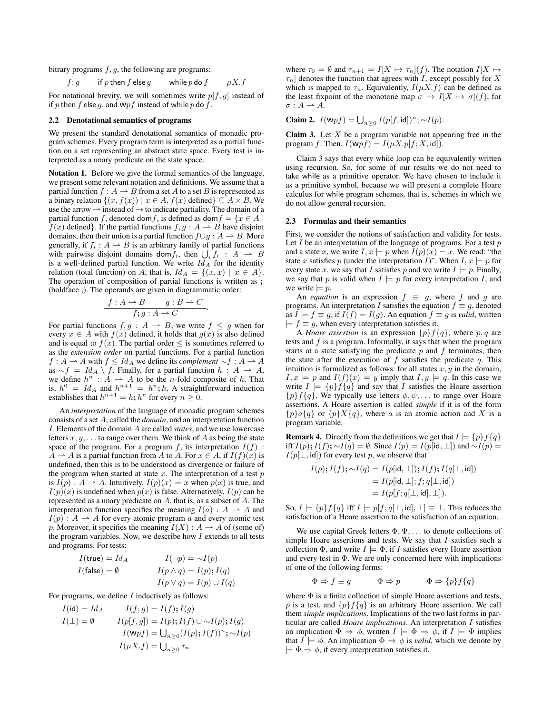bitrary programs  $f, g$ , the following are programs:

$$
f;g \qquad \text{if } p \text{ then } f \text{ else } g \qquad \text{while } p \text{ do } f \qquad \mu X. f
$$

For notational brevity, we will sometimes write  $p[f, g]$  instead of if p then f else g, and  $Wpf$  instead of while p do f.

#### 2.2 Denotational semantics of programs

We present the standard denotational semantics of monadic program schemes. Every program term is interpreted as a partial function on a set representing an abstract state space. Every test is interpreted as a unary predicate on the state space.

Notation 1. Before we give the formal semantics of the language, we present some relevant notation and definitions. We assume that a partial function  $f : A \to B$  from a set A to a set B is represented as a binary relation  $\{(x, f(x)) \mid x \in A, f(x) \text{ defined}\}\subseteq A \times B$ . We use the arrow  $\rightarrow$  instead of  $\rightarrow$  to indicate partiality. The domain of a partial function f, denoted domf, is defined as dom $f = \{x \in A \mid$  $f(x)$  defined}. If the partial functions  $f, g : A \rightarrow B$  have disjoint domains, then their union is a partial function  $f \cup g : A \rightarrow B$ . More generally, if  $f_i : A \to B$  is an arbitrary family of partial functions with pairwise disjoint domains dom  $f_i$ , then  $\bigcup_i f_i : A \rightharpoonup B$ is a well-defined partial function. We write  $Id_A$  for the identity relation (total function) on A, that is,  $Id_A = \{(x, x) | x \in A\}.$ The operation of composition of partial functions is written as ; (boldface ;). The operands are given in diagrammatic order:

$$
\frac{f: A \to B \qquad g: B \to C}{f; g: A \to C}.
$$

For partial functions  $f, g : A \rightarrow B$ , we write  $f \leq g$  when for every  $x \in A$  with  $f(x)$  defined, it holds that  $g(x)$  is also defined and is equal to  $f(x)$ . The partial order  $\leq$  is sometimes referred to as the *extension order* on partial functions. For a partial function  $f: A \to A$  with  $f \leq Id_A$  we define its *complement*  $\sim f: A \to A$ as  $\sim f = Id_A \setminus f$ . Finally, for a partial function  $h : A \rightarrow A$ , we define  $h^n$  :  $A \rightharpoonup A$  to be the *n*-fold composite of h. That is,  $h^0 = Id_A$  and  $h^{n+1} = h^n$ ; h. A straightforward induction establishes that  $h^{n+1} = h$ ;  $h^n$  for every  $n \geq 0$ .

An *interpretation* of the language of monadic program schemes consists of a set A, called the *domain*, and an interpretation function I. Elements of the domain A are called *states*, and we use lowercase letters  $x, y, \ldots$  to range over them. We think of A as being the state space of the program. For a program f, its interpretation  $I(f)$ :  $A \rightharpoonup A$  is a partial function from A to A. For  $x \in A$ , if  $I(f)(x)$  is undefined, then this is to be understood as divergence or failure of the program when started at state  $x$ . The interpretation of a test  $p$ is  $I(p)$ :  $A \rightarrow A$ . Intuitively,  $I(p)(x) = x$  when  $p(x)$  is true, and  $I(p)(x)$  is undefined when  $p(x)$  is false. Alternatively,  $I(p)$  can be represented as a unary predicate on A, that is, as a subset of A. The interpretation function specifies the meaning  $I(a) : A \rightarrow A$  and  $I(p)$ :  $A \rightharpoonup A$  for every atomic program a and every atomic test p. Moreover, it specifies the meaning  $I(X) : A \to A$  of (some of) the program variables. Now, we describe how  $I$  extends to all tests and programs. For tests:

$$
I(\text{true}) = Id_A \qquad I(\neg p) = \sim I(p) I(\text{false}) = \emptyset \qquad I(p \land q) = I(p); I(q) I(p \lor q) = I(p) \cup I(q)
$$

For programs, we define  $I$  inductively as follows:

$$
I(\text{id}) = Id_A \qquad I(f; g) = I(f); I(g)
$$
  
\n
$$
I(\bot) = \emptyset \qquad I(p[f, g]) = I(p); I(f) \cup \sim I(p); I(g)
$$
  
\n
$$
I(\text{wp}f) = \bigcup_{n \geq 0} (I(p); I(f))^n; \sim I(p)
$$
  
\n
$$
I(\mu X.f) = \bigcup_{n \geq 0} \tau_n
$$

where  $\tau_0 = \emptyset$  and  $\tau_{n+1} = I[X \mapsto \tau_n](f)$ . The notation  $I[X \mapsto$  $\tau_n$ ] denotes the function that agrees with *I*, except possibly for *X* which is mapped to  $\tau_n$ . Equivalently,  $I(\mu X.f)$  can be defined as the least fixpoint of the monotone map  $\sigma \mapsto I[X \mapsto \sigma](f)$ , for  $\sigma : A \longrightarrow A$ .

**Claim 2.**  $I(\mathsf{w}pf) = \bigcup_{n\geq 0} I(p[f, \mathsf{id}])^n; \sim I(p)$ .

**Claim 3.** Let  $X$  be a program variable not appearing free in the program f. Then,  $I(\mathsf{w}pf) = I(\mu X.p[f; X, id]).$ 

Claim 3 says that every while loop can be equivalently written using recursion. So, for some of our results we do not need to take while as a primitive operator. We have chosen to include it as a primitive symbol, because we will present a complete Hoare calculus for while program schemes, that is, schemes in which we do not allow general recursion.

#### 2.3 Formulas and their semantics

First, we consider the notions of satisfaction and validity for tests. Let  $I$  be an interpretation of the language of programs. For a test  $p$ and a state x, we write  $I, x \models p$  when  $I(p)(x) = x$ . We read: "the state x satisfies p (under the interpretation I)". When  $I, x \models p$  for every state x, we say that I satisfies p and we write  $I \models p$ . Finally, we say that p is valid when  $I \models p$  for every interpretation I, and we write  $\models p$ .

An *equation* is an expression  $f \equiv g$ , where f and g are programs. An interpretation I satisfies the equation  $f \equiv g$ , denoted as  $I \models f \equiv g$ , if  $I(f) = I(g)$ . An equation  $f \equiv g$  is *valid*, written  $\models$   $f \equiv g$ , when every interpretation satisfies it.

A *Hoare assertion* is an expression  $\{p\}f\{q\}$ , where p, q are tests and  $f$  is a program. Informally, it says that when the program starts at a state satisfying the predicate  $p$  and  $f$  terminates, then the state after the execution of  $f$  satisfies the predicate  $q$ . This intuition is formalized as follows: for all states  $x, y$  in the domain,  $I, x \models p$  and  $I(f)(x) = y$  imply that  $I, y \models q$ . In this case we write  $I \models \{p\} f \{q\}$  and say that I satisfies the Hoare assertion  $\{p\}f\{q\}$ . We typically use letters  $\phi, \psi, \ldots$  to range over Hoare assertions. A Hoare assertion is called *simple* if it is of the form  ${p}a{q}$  or  ${p}X{q}$ , where a is an atomic action and X is a program variable.

**Remark 4.** Directly from the definitions we get that  $I \models \{p\} f \{q\}$ iff  $I(p)$ ;  $I(f)$ ;  $\sim I(q) = \emptyset$ . Since  $I(p) = I(p[i\mathsf{d}, \bot])$  and  $\sim I(p) =$  $I(p[\perp, id])$  for every test p, we observe that

$$
I(p); I(f); \sim I(q) = I(p[\text{id}, \perp]); I(f); I(q[\perp, \text{id}])
$$
  
= 
$$
I(p[\text{id}, \perp]; f; q[\perp, \text{id}])
$$
  
= 
$$
I(p[f; q[\perp, \text{id}], \perp]).
$$

So,  $I \models \{p\} f \{q\}$  iff  $I \models p[f; q[\perp, id], \perp] \equiv \perp$ . This reduces the satisfaction of a Hoare assertion to the satisfaction of an equation.

We use capital Greek letters  $\Phi, \Psi, \ldots$  to denote collections of simple Hoare assertions and tests. We say that  $I$  satisfies such a collection  $\Phi$ , and write  $I \models \Phi$ , if I satisfies every Hoare assertion and every test in  $\Phi$ . We are only concerned here with implications of one of the following forms:

$$
\Phi \Rightarrow f \equiv g \qquad \Phi \Rightarrow p \qquad \Phi \Rightarrow \{p\} f \{q\}
$$

where Φ is a finite collection of simple Hoare assertions and tests, p is a test, and  $\{p\}f\{q\}$  is an arbitrary Hoare assertion. We call them *simple implications*. Implications of the two last forms in particular are called *Hoare implications*. An interpretation I satisfies an implication  $\Phi \Rightarrow \phi$ , written  $I \models \Phi \Rightarrow \phi$ , if  $I \models \Phi$  implies that  $I \models \phi$ . An implication  $\Phi \Rightarrow \phi$  is *valid*, which we denote by  $\models \Phi \Rightarrow \phi$ , if every interpretation satisfies it.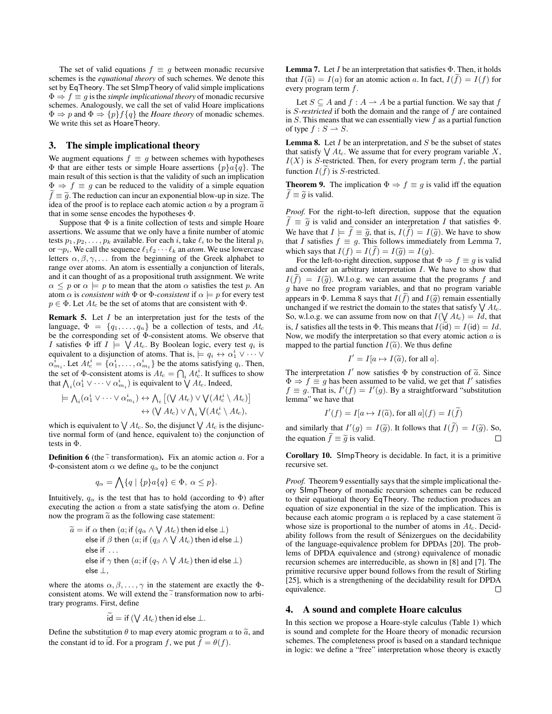The set of valid equations  $f \equiv g$  between monadic recursive schemes is the *equational theory* of such schemes. We denote this set by EqTheory. The set SImpTheory of valid simple implications  $\Phi \Rightarrow f \equiv g$  is the *simple implicational theory* of monadic recursive schemes. Analogously, we call the set of valid Hoare implications  $\Phi \Rightarrow p$  and  $\Phi \Rightarrow \{p\} f \{q\}$  the *Hoare theory* of monadic schemes. We write this set as HoareTheory.

## 3. The simple implicational theory

We augment equations  $f \equiv g$  between schemes with hypotheses  $\Phi$  that are either tests or simple Hoare assertions  $\{p\}a\{q\}$ . The main result of this section is that the validity of such an implication  $\Phi \Rightarrow f \equiv g$  can be reduced to the validity of a simple equation  $f \equiv \tilde{g}$ . The reduction can incur an exponential blow-up in size. The idea of the proof is to replace each atomic action a by a program  $\tilde{a}$ that in some sense encodes the hypotheses Φ.

Suppose that  $\Phi$  is a finite collection of tests and simple Hoare assertions. We assume that we only have a finite number of atomic tests  $p_1, p_2, \ldots, p_k$  available. For each i, take  $\ell_i$  to be the literal  $p_i$ or  $\neg p_i$ . We call the sequence  $\ell_1\ell_2 \cdots \ell_k$  an *atom*. We use lowercase letters  $\alpha, \beta, \gamma, \ldots$  from the beginning of the Greek alphabet to range over atoms. An atom is essentially a conjunction of literals, and it can thought of as a propositional truth assignment. We write  $\alpha \leq p$  or  $\alpha \models p$  to mean that the atom  $\alpha$  satisfies the test p. An atom  $\alpha$  is *consistent* with  $\Phi$  or  $\Phi$ -*consistent* if  $\alpha \models p$  for every test  $p \in \Phi$ . Let  $At_c$  be the set of atoms that are consistent with  $\Phi$ .

**Remark 5.** Let  $I$  be an interpretation just for the tests of the language,  $\Phi = \{q_1, \ldots, q_n\}$  be a collection of tests, and  $At_c$ be the corresponding set of Φ-consistent atoms. We observe that *I* satisfies  $\Phi$  iff  $I \models \bigvee At_c$ . By Boolean logic, every test  $q_i$  is equivalent to a disjunction of atoms. That is,  $\models q_i \leftrightarrow \alpha_1^i \lor \dots \lor$  $\alpha_{m_i}^i$ . Let  $At_c^i = {\alpha_1^i, \dots, \alpha_{m_i}^i}$  be the atoms satisfying  $q_i$ . Then, the set of  $\Phi$ -consistent atoms is  $At_c = \bigcap_i At_c^i$ . It suffices to show that  $\bigwedge_i (\alpha_1^i \vee \cdots \vee \alpha_{m_i}^i)$  is equivalent to  $\bigvee At_c$ . Indeed,

$$
\models \bigwedge_i (\alpha_1^i \vee \dots \vee \alpha_{m_i}^i) \leftrightarrow \bigwedge_i [(\bigvee At_c) \vee \bigvee (At_c^i \setminus At_c)]
$$
  

$$
\leftrightarrow (\bigvee At_c) \vee \bigwedge_i \bigvee (At_c^i \setminus At_c),
$$

which is equivalent to  $\bigvee At_c$ . So, the disjunct  $\bigvee At_c$  is the disjunctive normal form of (and hence, equivalent to) the conjunction of tests in Φ.

**Definition 6** (the  $\tilde{\cdot}$  transformation). Fix an atomic action a. For a Φ-consistent atom  $\alpha$  we define  $q_\alpha$  to be the conjunct

$$
q_{\alpha} = \bigwedge \{q \mid \{p\}a\{q\} \in \Phi, \ \alpha \le p\}.
$$

Intuitively,  $q_{\alpha}$  is the test that has to hold (according to  $\Phi$ ) after executing the action  $\alpha$  from a state satisfying the atom  $\alpha$ . Define now the program  $\tilde{a}$  as the following case statement:

$$
\widetilde{a} = \text{if } \alpha \text{ then } (a; \text{if } (q_{\alpha} \land \bigvee A t_{c}) \text{ then } \text{id} \text{ else } \bot)
$$
\n
$$
\text{else if } \beta \text{ then } (a; \text{if } (q_{\beta} \land \bigvee A t_{c}) \text{ then } \text{id} \text{ else } \bot)
$$
\n
$$
\text{else if } \dots
$$
\n
$$
\text{else if } \gamma \text{ then } (a; \text{if } (q_{\gamma} \land \bigvee A t_{c}) \text{ then } \text{id} \text{ else } \bot)
$$
\n
$$
\text{else } \bot,
$$

where the atoms  $\alpha, \beta, \dots, \gamma$  in the statement are exactly the  $\Phi$ consistent atoms. We will extend the  $\widetilde{\cdot}$  transformation now to arbitrary programs. First, define

$$
\widetilde{\mathsf{id}} = \mathsf{if} \left( \bigvee At_c \right) \mathsf{then} \mathsf{id} \mathsf{ else} \perp.
$$

Define the substitution  $\theta$  to map every atomic program  $\alpha$  to  $\tilde{\alpha}$ , and the constant id to id. For a program f, we put  $f = \theta(f)$ .

**Lemma 7.** Let *I* be an interpretation that satisfies  $\Phi$ . Then, it holds that  $I(\tilde{a}) = I(a)$  for an atomic action a. In fact,  $I(f) = I(f)$  for every program term f.

Let  $S \subseteq A$  and  $f : A \longrightarrow A$  be a partial function. We say that f is S*-restricted* if both the domain and the range of f are contained in  $S$ . This means that we can essentially view  $f$  as a partial function of type  $f : S \longrightarrow S$ .

**Lemma 8.** Let  $I$  be an interpretation, and  $S$  be the subset of states that satisfy  $\bigvee At_c$ . We assume that for every program variable X,  $I(X)$  is S-restricted. Then, for every program term f, the partial function  $I(f)$  is S-restricted.

**Theorem 9.** The implication  $\Phi \Rightarrow f \equiv g$  is valid iff the equation  $f \equiv \tilde{q}$  is valid.

*Proof.* For the right-to-left direction, suppose that the equation  $\tilde{f} \equiv \tilde{g}$  is valid and consider an interpretation I that satisfies  $\Phi$ . We have that  $I \models \tilde{f} \equiv \tilde{g}$ , that is,  $I(\tilde{f}) = I(\tilde{g})$ . We have to show that I satisfies  $f \equiv g$ . This follows immediately from Lemma 7, which says that  $I(f) = I(f) = I(\tilde{g}) = I(g)$ .

For the left-to-right direction, suppose that  $\Phi \Rightarrow f \equiv g$  is valid and consider an arbitrary interpretation  $I$ . We have to show that  $I(f) = I(\tilde{g})$ . W.l.o.g. we can assume that the programs f and  $g$  have no free program variables, and that no program variable appears in Φ. Lemma 8 says that  $I(f)$  and  $I(\tilde{g})$  remain essentially unchanged if we restrict the domain to the states that satisfy  $\bigvee At_c$ . So, w.l.o.g. we can assume from now on that  $I(\bigvee At_c) = Id$ , that is, I satisfies all the tests in  $\Phi$ . This means that  $I(id) = I(id) = Id$ . Now, we modify the interpretation so that every atomic action  $a$  is mapped to the partial function  $I(\tilde{a})$ . We thus define

$$
I' = I[a \mapsto I(\tilde{a}), \text{ for all } a].
$$

The interpretation I' now satisfies  $\Phi$  by construction of  $\tilde{a}$ . Since  $\Phi \rightarrow f = a$  has been assumed to be valid, we get that I' satisfies  $\Phi \Rightarrow f \equiv g$  has been assumed to be valid, we get that I' satisfies  $f \equiv g$ . That is,  $I'(f) = I'(g)$ . By a straightforward "substitution" lemma" we have that

$$
I'(f) = I[a \mapsto I(\widetilde{a}), \text{ for all } a](f) = I(\widetilde{f})
$$

and similarly that  $I'(g) = I(\tilde{g})$ . It follows that  $I(\tilde{f}) = I(\tilde{g})$ . So, the countion  $\tilde{f} = \tilde{g}$  is uplied the equation  $\widetilde{f} \equiv \widetilde{q}$  is valid.

Corollary 10. SImpTheory is decidable. In fact, it is a primitive recursive set.

*Proof.* Theorem 9 essentially says that the simple implicational theory SImpTheory of monadic recursion schemes can be reduced to their equational theory EqTheory. The reduction produces an equation of size exponential in the size of the implication. This is because each atomic program a is replaced by a case statement  $\tilde{a}$ whose size is proportional to the number of atoms in  $At_c$ . Decidability follows from the result of Sénizergues on the decidability of the language-equivalence problem for DPDAs [20]. The problems of DPDA equivalence and (strong) equivalence of monadic recursion schemes are interreducible, as shown in [8] and [7]. The primitive recursive upper bound follows from the result of Stirling [25], which is a strengthening of the decidability result for DPDA equivalence.  $\Box$ 

### 4. A sound and complete Hoare calculus

In this section we propose a Hoare-style calculus (Table 1) which is sound and complete for the Hoare theory of monadic recursion schemes. The completeness proof is based on a standard technique in logic: we define a "free" interpretation whose theory is exactly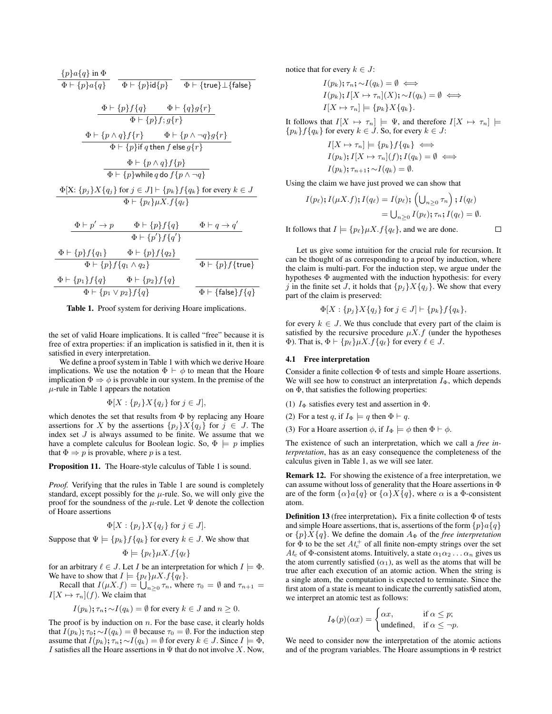$$
\frac{\{p\}a\{q\}\text{ in }\Phi}{\Phi \vdash \{p\}a\{q\}} \quad \frac{\Phi \vdash \{p\}\text{id}\{p\}}{\Phi \vdash \{p\}f\{q\}} \quad \frac{\Phi \vdash \{\text{true}\} \bot \{\text{false}\}}{\Phi \vdash \{p\}f; g\{r\}}
$$
\n
$$
\frac{\Phi \vdash \{p\}f\{q\}}{\Phi \vdash \{p\}f; g\{r\}} \quad \frac{\Phi \vdash \{p\}a\{r\}}{\Phi \vdash \{p\}i\{q\}\text{ then } f \text{ else } g\{r\}} \quad \frac{\Phi \vdash \{p\}a\{p\}}{\Phi \vdash \{p\}i\{q\}\text{ then } f \text{ else } g\{r\}} \quad \frac{\Phi \vdash \{p\}a\{p\}}{\Phi \vdash \{p\}i\text{ while } q\text{ do } f\{p\} \land \neg q\}} \quad \frac{\Phi \{X: \{p_j\}X\{q_j\} \text{ for } j \in J\} \vdash \{p_k\}f\{q_k\} \text{ for every } k \in J}}{\Phi \vdash \{p_\ell\} \mu X. f\{q_\ell\}} \quad \frac{\Phi \vdash p' \rightarrow p \quad \Phi \vdash \{p\}f\{q\}}{\Phi \vdash \{p'\}f\{q'\}} \quad \frac{\Phi \vdash q \rightarrow q'}{\Phi \vdash \{p\}f\{q\} \land q_2\}} \quad \frac{\Phi \vdash \{p\}f\{q\}}{\Phi \vdash \{p_1\}f\{q\}} \quad \frac{\Phi \vdash \{p_1\}f\{q\}}{\Phi \vdash \{p_1\} \lor p_2\}f\{q\}} \quad \frac{\Phi \vdash \{\text{false}\}f\{q\}}{\Phi \vdash \{\text{false}\}f\{q\}} \quad \frac{\Phi \vdash \{\text{false}\}f\{q\}}{\Phi \vdash \{\text{false}\}f\{q\}} \quad \frac{\Phi \vdash \{\text{false}\}f\{q\}}{\Phi \vdash \{\text{false}\}f\{q\}} \quad \frac{\Phi \vdash \{\text{false}\}f\{q\}}{\Phi \vdash \{\text{false}\}f\{q\}}
$$

Table 1. Proof system for deriving Hoare implications.

the set of valid Hoare implications. It is called "free" because it is free of extra properties: if an implication is satisfied in it, then it is satisfied in every interpretation.

We define a proof system in Table 1 with which we derive Hoare implications. We use the notation  $\Phi \vdash \phi$  to mean that the Hoare implication  $\Phi \Rightarrow \phi$  is provable in our system. In the premise of the  $\mu$ -rule in Table 1 appears the notation

$$
\Phi[X:\{p_j\}X\{q_j\}\text{ for }j\in J],
$$

which denotes the set that results from  $\Phi$  by replacing any Hoare assertions for X by the assertions  $\{p_j\}X\{q_j\}$  for  $j \in J$ . The index set  $J$  is always assumed to be finite. We assume that we have a complete calculus for Boolean logic. So,  $\Phi \models p$  implies that  $\Phi \Rightarrow p$  is provable, where p is a test.

Proposition 11. The Hoare-style calculus of Table 1 is sound.

*Proof.* Verifying that the rules in Table 1 are sound is completely standard, except possibly for the  $\mu$ -rule. So, we will only give the proof for the soundness of the  $\mu$ -rule. Let  $\Psi$  denote the collection of Hoare assertions

$$
\Phi[X:\{p_j\}X\{q_j\} \text{ for } j \in J].
$$

Suppose that  $\Psi \models \{p_k\} f \{q_k\}$  for every  $k \in J$ . We show that

$$
\Phi \models \{p_\ell\} \mu X . f\{q_\ell\}
$$

for an arbitrary  $\ell \in J$ . Let I be an interpretation for which  $I \models \Phi$ . We have to show that  $I \models \{p_\ell\} \mu X.f\{q_\ell\}.$ 

Recall that  $I(\mu X.f) = \bigcup_{n \geq 0} \tau_n$ , where  $\tau_0 = \emptyset$  and  $\tau_{n+1} =$  $I[X \mapsto \tau_n](f)$ . We claim that

$$
I(p_k); \tau_n; \sim I(q_k) = \emptyset
$$
 for every  $k \in J$  and  $n \ge 0$ .

The proof is by induction on  $n$ . For the base case, it clearly holds that  $\tilde{I}(p_k)$ ;  $\tau_0$ ;  $\sim I(q_k) = \emptyset$  because  $\tau_0 = \emptyset$ . For the induction step assume that  $I(p_k); \tau_n; \sim I(q_k) = \emptyset$  for every  $k \in J$ . Since  $I \models \Phi$ , I satisfies all the Hoare assertions in  $\Psi$  that do not involve X. Now,

notice that for every  $k \in J$ :

$$
I(p_k); \tau_n; \sim I(q_k) = \emptyset \iff
$$
  
\n
$$
I(p_k); I[X \mapsto \tau_n](X); \sim I(q_k) = \emptyset \iff
$$
  
\n
$$
I[X \mapsto \tau_n] \models \{p_k\} X \{q_k\}.
$$

It follows that  $I[X \mapsto \tau_n] \models \Psi$ , and therefore  $I[X \mapsto \tau_n] \models$  ${p_k}f{q_k}$  for every  $k \in J$ . So, for every  $k \in J$ :

$$
I[X \mapsto \tau_n] \models \{p_k\} f\{q_k\} \iff I(p_k); I[X \mapsto \tau_n](f); I(q_k) = \emptyset \iff I(p_k); \tau_{n+1}; \sim I(q_k) = \emptyset.
$$

Using the claim we have just proved we can show that

$$
I(p_{\ell}); I(\mu X.f); I(q_{\ell}) = I(p_{\ell}); \left(\bigcup_{n\geq 0} \tau_n\right); I(q_{\ell})
$$
  
=  $\bigcup_{n\geq 0} I(p_{\ell}); \tau_n; I(q_{\ell}) = \emptyset.$ 

It follows that  $I \models \{p_\ell\}\mu X.f\{q_\ell\}$ , and we are done.

Let us give some intuition for the crucial rule for recursion. It can be thought of as corresponding to a proof by induction, where the claim is multi-part. For the induction step, we argue under the hypotheses Φ augmented with the induction hypothesis: for every j in the finite set J, it holds that  $\{p_j\}X\{q_j\}$ . We show that every part of the claim is preserved:

$$
\Phi[X : \{p_j\}X\{q_j\} \text{ for } j \in J] \vdash \{p_k\}f\{q_k\},\
$$

for every  $k \in J$ . We thus conclude that every part of the claim is satisfied by the recursive procedure  $\mu X.f$  (under the hypotheses Φ). That is,  $\Phi \vdash \{p_\ell\} \mu X. f\{q_\ell\}$  for every  $\ell \in J$ .

#### 4.1 Free interpretation

Consider a finite collection  $\Phi$  of tests and simple Hoare assertions. We will see how to construct an interpretation  $I_{\Phi}$ , which depends on  $\Phi$ , that satisfies the following properties:

- (1)  $I_{\Phi}$  satisfies every test and assertion in  $\Phi$ .
- (2) For a test q, if  $I_{\Phi} \models q$  then  $\Phi \vdash q$ .
- (3) For a Hoare assertion  $\phi$ , if  $I_{\Phi} \models \phi$  then  $\Phi \vdash \phi$ .

The existence of such an interpretation, which we call a *free interpretation*, has as an easy consequence the completeness of the calculus given in Table 1, as we will see later.

Remark 12. For showing the existence of a free interpretation, we can assume without loss of generality that the Hoare assertions in Φ are of the form  $\{\alpha\}a\{q\}$  or  $\{\alpha\}X\{q\}$ , where  $\alpha$  is a  $\Phi$ -consistent atom.

**Definition 13** (free interpretation). Fix a finite collection  $\Phi$  of tests and simple Hoare assertions, that is, assertions of the form  $\{p\}a\{q\}$ or  $\{p\}X\{q\}$ . We define the domain  $A_{\Phi}$  of the *free interpretation* for  $\Phi$  to be the set  $At_c^+$  of all finite non-empty strings over the set  $At_c$  of  $\Phi$ -consistent atoms. Intuitively, a state  $\alpha_1 \alpha_2 \ldots \alpha_n$  gives us the atom currently satisfied  $(\alpha_1)$ , as well as the atoms that will be true after each execution of an atomic action. When the string is a single atom, the computation is expected to terminate. Since the first atom of a state is meant to indicate the currently satisfied atom, we interpret an atomic test as follows:

$$
I_{\Phi}(p)(\alpha x) = \begin{cases} \alpha x, & \text{if } \alpha \le p; \\ \text{undefined}, & \text{if } \alpha \le -p. \end{cases}
$$

We need to consider now the interpretation of the atomic actions and of the program variables. The Hoare assumptions in  $\Phi$  restrict

 $\Box$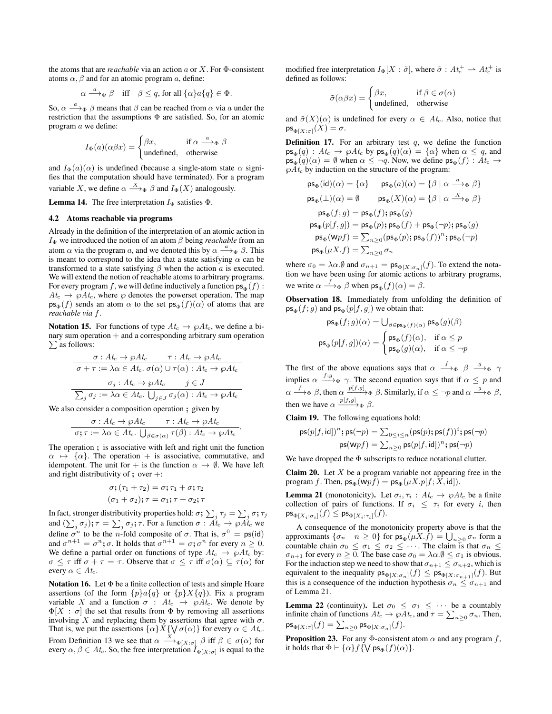the atoms that are *reachable* via an action a or X. For Φ-consistent atoms  $\alpha$ ,  $\beta$  and for an atomic program a, define:

$$
\alpha \xrightarrow{a} \beta \quad \text{iff} \quad \beta \le q \text{, for all } \{\alpha\}a\{q\} \in \Phi.
$$

So,  $\alpha \stackrel{a}{\longrightarrow}_{\Phi} \beta$  means that  $\beta$  can be reached from  $\alpha$  via a under the restriction that the assumptions  $\Phi$  are satisfied. So, for an atomic program a we define:

$$
I_{\Phi}(a)(\alpha\beta x) = \begin{cases} \beta x, & \text{if } \alpha \xrightarrow{a} \phi \beta \\ \text{undefined}, & \text{otherwise} \end{cases}
$$

and  $I_{\Phi}(a)(\alpha)$  is undefined (because a single-atom state  $\alpha$  signifies that the computation should have terminated). For a program variable X, we define  $\alpha \stackrel{X}{\longrightarrow}_{\Phi} \beta$  and  $I_{\Phi}(X)$  analogously.

**Lemma 14.** The free interpretation  $I_{\Phi}$  satisfies  $\Phi$ .

#### 4.2 Atoms reachable via programs

Already in the definition of the interpretation of an atomic action in  $I_{\Phi}$  we introduced the notion of an atom  $\beta$  being *reachable* from an atom  $\alpha$  via the program a, and we denoted this by  $\alpha \stackrel{a}{\longrightarrow}_{\Phi} \beta$ . This is meant to correspond to the idea that a state satisfying  $\alpha$  can be transformed to a state satisfying  $\beta$  when the action  $\alpha$  is executed. We will extend the notion of reachable atoms to arbitrary programs. For every program f, we will define inductively a function  $\mathsf{ps}_\Phi(f)$  :  $At_c \rightarrow \wp At_c$ , where  $\wp$  denotes the powerset operation. The map  $ps_{\Phi}(f)$  sends an atom  $\alpha$  to the set  $ps_{\Phi}(f)(\alpha)$  of atoms that are *reachable via* f.

**Notation 15.** For functions of type  $At_c \rightarrow \wp At_c$ , we define a binary sum operation + and a corresponding arbitrary sum operation  $\sum$  as follows:

$$
\sigma: At_c \to \wp At_c \qquad \tau: At_c \to \wp At_c
$$

$$
\sigma + \tau := \lambda \alpha \in At_c. \ \sigma(\alpha) \cup \tau(\alpha): At_c \to \wp At_c
$$

$$
\sigma_j: At_c \to \wp At_c \qquad j \in J
$$

$$
\sum_j \sigma_j := \lambda \alpha \in At_c. \ \bigcup_{j \in J} \sigma_j(\alpha): At_c \to \wp At_c
$$

We also consider a composition operation ; given by

$$
\frac{\sigma: At_c \to \wp At_c \qquad \tau: At_c \to \wp At_c}{\sigma; \tau := \lambda \alpha \in At_c. \bigcup_{\beta \in \sigma(\alpha)} \tau(\beta): At_c \to \wp At_c}
$$

.

The operation ; is associative with left and right unit the function  $\alpha \mapsto {\alpha}$ . The operation + is associative, commutative, and idempotent. The unit for + is the function  $\alpha \mapsto \emptyset$ . We have left and right distributivity of ; over  $+$ :

$$
\begin{aligned} \sigma;(\tau_1+\tau_2) &= \sigma; \tau_1+\sigma; \tau_2 \\ (\sigma_1+\sigma_2); \tau &= \sigma_1; \tau+\sigma_2; \tau \end{aligned}
$$

In fact, stronger distributivity properties hold:  $\sigma ;\, \sum_j \tau_j = \sum_j \sigma ; \tau_j$ and  $(\sum_j \sigma_j)$ ;  $\tau = \sum_j \sigma_j$ ;  $\tau$ . For a function  $\sigma : At_c \to \wp At_c$  we define  $\sigma^n$  to be the *n*-fold composite of  $\sigma$ . That is,  $\sigma^0 = \text{ps}(\text{id})$ and  $\sigma^{n+1} = \sigma^n$ ;  $\sigma$ . It holds that  $\sigma^{n+1} = \sigma$ ;  $\sigma^n$  for every  $n \ge 0$ . We define a partial order on functions of type  $At_c \rightarrow \wp At_c$  by:  $\sigma \leq \tau$  iff  $\sigma + \tau = \tau$ . Observe that  $\sigma \leq \tau$  iff  $\sigma(\alpha) \subseteq \tau(\alpha)$  for every  $\alpha \in At_c$ .

Notation 16. Let  $\Phi$  be a finite collection of tests and simple Hoare assertions (of the form  $\{p\}a\{q\}$  or  $\{p\}X\{q\}$ ). Fix a program variable X and a function  $\sigma$  :  $At_c \rightarrow \wp At_c$ . We denote by  $\Phi[X : \sigma]$  the set that results from  $\Phi$  by removing all assertions involving X and replacing them by assertions that agree with  $\sigma$ . That is, we put the assertions  $\{\alpha\}X\{\bigvee \sigma(\alpha)\}\$  for every  $\alpha \in At_c$ . From Definition 13 we see that  $\alpha \stackrel{X}{\longrightarrow}_{\Phi[X:\sigma]} \beta$  iff  $\beta \in \sigma(\alpha)$  for every  $\alpha, \beta \in \mathcal{A}$  t<sub>c</sub>. So, the free interpretation  $I_{\Phi[X:\sigma]}$  is equal to the

modified free interpretation  $I_{\Phi}[X : \tilde{\sigma}]$ , where  $\tilde{\sigma} : At_c^+ \to At_c^+$  is defined as follows:

$$
\tilde{\sigma}(\alpha \beta x) = \begin{cases} \beta x, & \text{if } \beta \in \sigma(\alpha) \\ \text{undefined}, & \text{otherwise} \end{cases}
$$

and  $\tilde{\sigma}(X)(\alpha)$  is undefined for every  $\alpha \in At_c$ . Also, notice that  $\mathsf{ps}_{\Phi[X:\sigma]}(X) = \sigma.$ 

**Definition 17.** For an arbitrary test  $q$ , we define the function  $ps_{\Phi}(q) : At_c \to \wp At_c$  by  $ps_{\Phi}(q)(\alpha) = {\alpha}$  when  $\alpha \leq q$ , and  $p\mathbf{s}_{\Phi}(q)(\alpha) = \emptyset$  when  $\alpha \leq \neg q$ . Now, we define  $p\mathbf{s}_{\Phi}(f) : At_c \rightarrow$  $\wp A t_c$  by induction on the structure of the program:

$$
\begin{aligned} \mathsf{ps}_\Phi(\mathsf{id})(\alpha) &= \{\alpha\} & \qquad \mathsf{ps}_\Phi(a)(\alpha) &= \{\beta \mid \alpha \stackrel{a}{\longrightarrow}_\Phi \beta\} \\ \mathsf{ps}_\Phi(\bot)(\alpha) &= \emptyset & \qquad \mathsf{ps}_\Phi(X)(\alpha) &= \{\beta \mid \alpha \stackrel{X}{\longrightarrow}_\Phi \beta\} \\ \mathsf{ps}_\Phi(f;g) &= \mathsf{ps}_\Phi(f); \mathsf{ps}_\Phi(g) \\ \mathsf{ps}_\Phi(p[f,g]) &= \mathsf{ps}_\Phi(p); \mathsf{ps}_\Phi(f) + \mathsf{ps}_\Phi(\neg p); \mathsf{ps}_\Phi(g) \\ \mathsf{ps}_\Phi(\mathsf{w} p f) &= \sum_{n\geq 0} (\mathsf{ps}_\Phi(p); \mathsf{ps}_\Phi(f))^n; \mathsf{ps}_\Phi(\neg p) \\ \mathsf{ps}_\Phi(\mu X.f) &= \sum_{n\geq 0} \sigma_n \end{aligned}
$$

where  $\sigma_0 = \lambda \alpha \cdot \emptyset$  and  $\sigma_{n+1} = \mathsf{ps}_{\Phi[X:\sigma_n]}(f)$ . To extend the notation we have been using for atomic actions to arbitrary programs, we write  $\alpha \stackrel{f}{\longrightarrow}_{\Phi} \beta$  when  $\mathsf{ps}_{\Phi}(f)(\alpha) = \beta$ .

Observation 18. Immediately from unfolding the definition of  $ps_{\Phi}(f; g)$  and  $ps_{\Phi}(p[f, g])$  we obtain that:

$$
\mathsf{ps}_{\Phi}(f;g)(\alpha) = \bigcup_{\beta \in \mathsf{ps}_{\Phi}(f)(\alpha)} \mathsf{ps}_{\Phi}(g)(\beta)
$$

$$
\mathsf{ps}_{\Phi}(p[f,g])(\alpha) = \begin{cases} \mathsf{ps}_{\Phi}(f)(\alpha), & \text{if } \alpha \le p \\ \mathsf{ps}_{\Phi}(g)(\alpha), & \text{if } \alpha \le \neg p \end{cases}
$$

The first of the above equations says that  $\alpha \stackrel{f}{\longrightarrow}_{\Phi} \beta \stackrel{g}{\longrightarrow}_{\Phi} \gamma$ implies  $\alpha \xrightarrow{f:g} \gamma$ . The second equation says that if  $\alpha \leq p$  and  $\alpha \stackrel{f}{\longrightarrow}_{\Phi} \beta$ , then  $\alpha \stackrel{p[f,g]}{\longrightarrow}_{\Phi} \beta$ . Similarly, if  $\alpha \leq \neg p$  and  $\alpha \stackrel{g}{\longrightarrow}_{\Phi} \beta$ , then we have  $\alpha \xrightarrow{p[f,g]} \beta$ .

Claim 19. The following equations hold:

$$
\mathsf{ps}(p[f,\mathsf{id}])^n; \mathsf{ps}(\neg p) = \sum_{0 \leq i \leq n} (\mathsf{ps}(p); \mathsf{ps}(f))^i; \mathsf{ps}(\neg p) \\ \mathsf{ps}(\mathsf{w} p f) = \sum_{n \geq 0} \mathsf{ps}(p[f,\mathsf{id}])^n; \mathsf{ps}(\neg p)
$$

We have dropped the  $\Phi$  subscripts to reduce notational clutter.

**Claim 20.** Let  $X$  be a program variable not appearing free in the program f. Then,  $ps_{\Phi}(wpf) = ps_{\Phi}(\mu X.p[f; X, id]).$ 

**Lemma 21** (monotonicity). Let  $\sigma_i, \tau_i : At_c \rightarrow \wp At_c$  be a finite collection of pairs of functions. If  $\sigma_i \leq \tau_i$  for every i, then  $\mathsf{ps}_{\Phi[X_i:\sigma_i]}(f) \leq \mathsf{ps}_{\Phi[X_i:\tau_i]}(f).$ 

A consequence of the monotonicity property above is that the approximants  $\{\sigma_n \mid n \geq 0\}$  for  $\mathsf{ps}_{\Phi}(\mu X.f) = \bigcup_{n \geq 0} \sigma_n$  form a countable chain  $\sigma_0 \leq \sigma_1 \leq \sigma_2 \leq \cdots$ . The claim is that  $\sigma_n \leq$  $\sigma_{n+1}$  for every  $n \geq 0$ . The base case  $\sigma_0 = \lambda \alpha \cdot \emptyset \leq \sigma_1$  is obvious. For the induction step we need to show that  $\sigma_{n+1} \leq \sigma_{n+2}$ , which is equivalent to the inequality  $ps_{\Phi[X:\sigma_n]}(f) \leq ps_{\Phi[X:\sigma_{n+1}]}(f)$ . But this is a consequence of the induction hypothesis  $\sigma_n \leq \sigma_{n+1}$  and of Lemma 21.

**Lemma 22** (continuity). Let  $\sigma_0 \leq \sigma_1 \leq \cdots$  be a countably infinite chain of functions  $At_c \to \wp At_c$ , and  $\tau = \sum_{n\geq 0} \sigma_n$ . Then,  $\mathsf{ps}_{\Phi[X:\tau]}(f) = \sum_{n\geq 0} \mathsf{ps}_{\Phi[X:\sigma_n]}(f).$ 

**Proposition 23.** For any Φ-consistent atom  $\alpha$  and any program f, it holds that  $\Phi \vdash {\{\alpha\}} f {\{\bigvee \mathsf{ps}_\Phi(f)(\alpha)\}}.$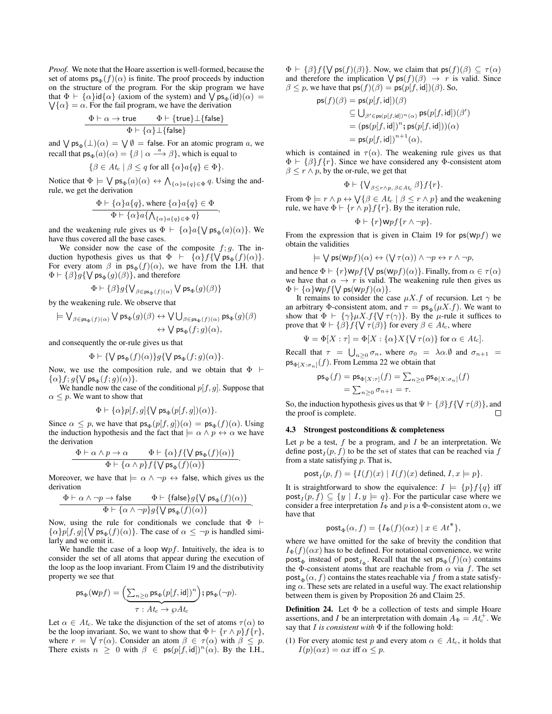*Proof.* We note that the Hoare assertion is well-formed, because the set of atoms  $ps_{\Phi}(f)(\alpha)$  is finite. The proof proceeds by induction on the structure of the program. For the skip program we have that  $\Phi \vdash \{\alpha\}$  id $\{\alpha\}$  (axiom of the system) and  $\bigvee p s_{\Phi}(\text{id})(\alpha) =$  $\bigvee {\{\alpha\}} = \alpha$ . For the fail program, we have the derivation

$$
\begin{array}{c}\n\Phi \vdash \alpha \to \mathsf{true} \qquad \Phi \vdash \{\mathsf{true}\} \bot \{\mathsf{false}\} \\
\Phi \vdash \{\alpha\} \bot \{\mathsf{false}\}\n\end{array}
$$

and  $\bigvee$  ps<sub> $\Phi$ </sub> $(\perp)(\alpha) = \bigvee \emptyset$  = false. For an atomic program a, we recall that  $ps_{\Phi}(a)(\alpha) = \{\beta \mid \alpha \stackrel{a}{\longrightarrow} \beta\}$ , which is equal to

$$
\{\beta \in At_c \mid \beta \le q \text{ for all } \{\alpha\}a\{q\} \in \Phi\}.
$$

Notice that  $\Phi \models \bigvee \mathsf{ps}_{\Phi}(a)(\alpha) \leftrightarrow \bigwedge_{\{\alpha\}a\{q\} \in \Phi} q$ . Using the andrule, we get the derivation

$$
\Phi \vdash \{\alpha\}a\{q\}, \text{ where } \{\alpha\}a\{q\} \in \Phi
$$

$$
\Phi \vdash \{\alpha\}a\{\bigwedge_{\{\alpha\}a\{q\} \in \Phi} q\}
$$

,

.

.

and the weakening rule gives us  $\Phi \vdash {\alpha} a \{ \forall \mathsf{ps}_{\Phi}(a)(\alpha) \}.$  We have thus covered all the base cases.

We consider now the case of the composite  $f$ ;  $g$ . The induction hypothesis gives us that  $\Phi \vdash {\alpha} f{\forall} \mathsf{ps}_{\Phi}(f)(\alpha)$ . For every atom  $\beta$  in  $ps_{\Phi}(f)(\alpha)$ , we have from the I.H. that  $\Phi \vdash \{\beta\} g \{\bigvee \mathsf{ps}_\Phi(g)(\beta)\},$  and therefore

$$
\Phi \vdash \{\beta\} g \{\bigvee_{\beta \in \mathsf{ps}_\Phi(f)(\alpha)} \bigvee \mathsf{ps}_\Phi(g)(\beta)\}
$$

by the weakening rule. We observe that

$$
\models \bigvee_{\beta \in \mathsf{ps}_\Phi(f)(\alpha)} \bigvee \mathsf{ps}_\Phi(g)(\beta) \leftrightarrow \bigvee \bigcup_{\beta \in \mathsf{ps}_\Phi(f)(\alpha)} \mathsf{ps}_\Phi(g)(\beta) \\ \leftrightarrow \bigvee \mathsf{ps}_\Phi(f;g)(\alpha),
$$

and consequently the or-rule gives us that

$$
\Phi \vdash \{\bigvee \mathsf{ps}_{\Phi}(f)(\alpha)\} g \{\bigvee \mathsf{ps}_{\Phi}(f;g)(\alpha)\}.
$$

Now, we use the composition rule, and we obtain that  $\Phi$   $\vdash$  $\{\alpha\}f;g\{\bigvee$  ps $_\Phi(f;g)(\alpha)\}.$ 

We handle now the case of the conditional  $p[f, g]$ . Suppose that  $\alpha \leq p$ . We want to show that

$$
\Phi \vdash \{\alpha\} p[f,g] \{\bigvee \mathsf{ps}_{\Phi}(p[f,g])(\alpha)\}.
$$

Since  $\alpha \leq p$ , we have that  $\mathsf{ps}_{\Phi}(p[f,g])(\alpha) = \mathsf{ps}_{\Phi}(f)(\alpha)$ . Using the induction hypothesis and the fact that  $\models \alpha \land p \leftrightarrow \alpha$  we have the derivation

$$
\frac{\Phi \vdash \alpha \land p \to \alpha \qquad \Phi \vdash \{\alpha\} f \{\bigvee \mathsf{ps}_{\Phi}(f)(\alpha)\}}{\Phi \vdash \{\alpha \land p\} f \{\bigvee \mathsf{ps}_{\Phi}(f)(\alpha)\}}
$$

Moreover, we have that  $\models \alpha \land \neg p \leftrightarrow \text{false}$ , which gives us the derivation

$$
\frac{\Phi \vdash \alpha \wedge \neg p \rightarrow \mathsf{false} \qquad \Phi \vdash \{\mathsf{false}\} g\{\bigvee \mathsf{ps}_\Phi(f)(\alpha)\}}{\Phi \vdash \{\alpha \wedge \neg p\} g\{\bigvee \mathsf{ps}_\Phi(f)(\alpha)\}}
$$

Now, using the rule for conditionals we conclude that  $\Phi$   $\vdash$  $\{\alpha\}p[f,g]\{\forall \text{ps}_{\Phi}(f)(\alpha)\}\.$  The case of  $\alpha \leq \neg p$  is handled similarly and we omit it.

We handle the case of a loop  $Wpf$ . Intuitively, the idea is to consider the set of all atoms that appear during the execution of the loop as the loop invariant. From Claim 19 and the distributivity property we see that

$$
\mathsf{ps}_\Phi(\mathsf{W} p f) = \left( \underbrace{\sum_{n \geq 0} \mathsf{ps}_\Phi(p[f,\mathsf{id}])^n}_{\mathcal{T}: \, At_c \to \wp At_c} \right); \mathsf{ps}_\Phi(\neg p).
$$

Let  $\alpha \in At_c$ . We take the disjunction of the set of atoms  $\tau(\alpha)$  to be the loop invariant. So, we want to show that  $\Phi \vdash \{r \wedge p\} f\{r\},\$ where  $r = \sqrt{\tau(\alpha)}$ . Consider an atom  $\beta \in \tau(\alpha)$  with  $\beta \leq p$ . There exists  $n \geq 0$  with  $\beta \in \text{ps}(p[f,\text{id}])^n(\alpha)$ . By the I.H.,

 $\Phi \vdash \{\beta\} f\{\bigvee \mathsf{ps}(f)(\beta)\}\)$ . Now, we claim that  $\mathsf{ps}(f)(\beta) \subseteq \tau(\alpha)$ and therefore the implication  $\bigvee p s(f)(\beta) \rightarrow r$  is valid. Since  $\beta \leq p$ , we have that  $\mathsf{ps}(f)(\beta) = \mathsf{ps}(p[f, id])(\beta)$ . So,

$$
ps(f)(\beta) = ps(p[f, id])(\beta)
$$
  
\n
$$
\subseteq \bigcup_{\beta' \in ps(p[f, id])^n(\alpha)} ps(p[f, id])(\beta')
$$
  
\n
$$
= (ps(p[f, id])^n; ps(p[f, id]))(\alpha)
$$
  
\n
$$
= ps(p[f, id])^{n+1}(\alpha),
$$

which is contained in  $\tau(\alpha)$ . The weakening rule gives us that  $\Phi \vdash \{\beta\} f\{r\}$ . Since we have considered any Φ-consistent atom  $\beta \le r \wedge p$ , by the or-rule, we get that

$$
\Phi \vdash \{\bigvee_{\beta \leq r \land p, \, \beta \in At_c} \beta\} f\{r\}.
$$

From  $\Phi \models r \land p \leftrightarrow \bigvee{\beta \in A} t_c \mid \beta \leq r \land p$  and the weakening rule, we have  $\Phi \vdash \{r \wedge p\} f\{r\}$ . By the iteration rule,

$$
\Phi \vdash \{r\} \mathsf{W} p f \{r \wedge \neg p\}.
$$

From the expression that is given in Claim 19 for  $ps(Wpf)$  we obtain the validities

$$
\models \bigvee \mathsf{ps}(\mathsf{w}p\mathsf{f})(\alpha) \leftrightarrow (\bigvee \tau(\alpha)) \land \neg p \leftrightarrow r \land \neg p,
$$

and hence  $\Phi \vdash \{r\} \mathsf{w} p f \{ \bigvee \mathsf{ps}(\mathsf{w} p f)(\alpha) \}.$  Finally, from  $\alpha \in \tau(\alpha)$ we have that  $\alpha \rightarrow r$  is valid. The weakening rule then gives us  $\Phi \vdash {\alpha}$  Wp  $f\{\bigvee p s(\mathsf{w}p f)(\alpha)\}.$ 

It remains to consider the case  $\mu X.f$  of recursion. Let  $\gamma$  be an arbitrary Φ-consistent atom, and  $\tau = ps_{\Phi}(\mu X.f)$ . We want to show that  $\Phi \vdash \{\gamma\}\mu X.f\{\forall \tau(\gamma)\}\)$ . By the  $\mu$ -rule it suffices to prove that  $\Psi \vdash \{\beta\} f \{\bigvee \tau(\beta)\}\$  for every  $\beta \in At_c$ , where

$$
\Psi = \Phi[X : \tau] = \Phi[X : {\alpha} X \{\nabla \tau(\alpha)\} \text{ for } \alpha \in At_c].
$$

Recall that  $\tau = \bigcup_{n\geq 0} \sigma_n$ , where  $\sigma_0 = \lambda \alpha \cdot \emptyset$  and  $\sigma_{n+1} =$  $\mathsf{ps}_{\Phi[X:\sigma_n]}(f)$ . From Lemma 22 we obtain that

$$
\mathsf{ps}_{\Psi}(f) = \mathsf{ps}_{\Phi[X:\tau]}(f) = \sum_{n\geq 0} \mathsf{ps}_{\Phi[X:\sigma_n]}(f)
$$

$$
= \sum_{n\geq 0} \sigma_{n+1} = \tau.
$$

So, the induction hypothesis gives us that  $\Psi \vdash \{\beta\} f \{\bigvee \tau(\beta)\}\$ , and the proof is complete.  $\Box$ 

#### 4.3 Strongest postconditions & completeness

Let  $p$  be a test,  $f$  be a program, and  $I$  be an interpretation. We define  $post_I(p, f)$  to be the set of states that can be reached via f from a state satisfying  $p$ . That is,

$$
\mathsf{post}_I(p,f) = \{ I(f)(x) \mid I(f)(x) \text{ defined, } I, x \models p \}.
$$

It is straightforward to show the equivalence:  $I = \{p\}f\{q\}$  iff  $post_I(p, f) \subseteq \{y \mid I, y \models q\}$ . For the particular case where we consider a free interpretation  $I_{\Phi}$  and p is a  $\Phi$ -consistent atom  $\alpha$ , we have that

$$
\mathsf{post}_{\Phi}(\alpha, f) = \{ I_{\Phi}(f)(\alpha x) \mid x \in At^* \},
$$

where we have omitted for the sake of brevity the condition that  $I_{\Phi}(f)(\alpha x)$  has to be defined. For notational convenience, we write  ${\sf post}_{\Phi}$  instead of post<sub>I</sub><sub> $\Phi$ </sub>. Recall that the set  ${\sf ps}_{\Phi}(f)(\alpha)$  contains the Φ-consistent atoms that are reachable from  $\alpha$  via f. The set  $\text{post}_{\Phi}(\alpha, f)$  contains the states reachable via f from a state satisfying  $\alpha$ . These sets are related in a useful way. The exact relationship between them is given by Proposition 26 and Claim 25.

**Definition 24.** Let  $\Phi$  be a collection of tests and simple Hoare assertions, and I be an interpretation with domain  $A_{\Phi} = At_c^+$ . We say that I *is consistent with* Φ if the following hold:

(1) For every atomic test p and every atom  $\alpha \in At_c$ , it holds that  $I(p)(\alpha x) = \alpha x$  iff  $\alpha \leq p$ .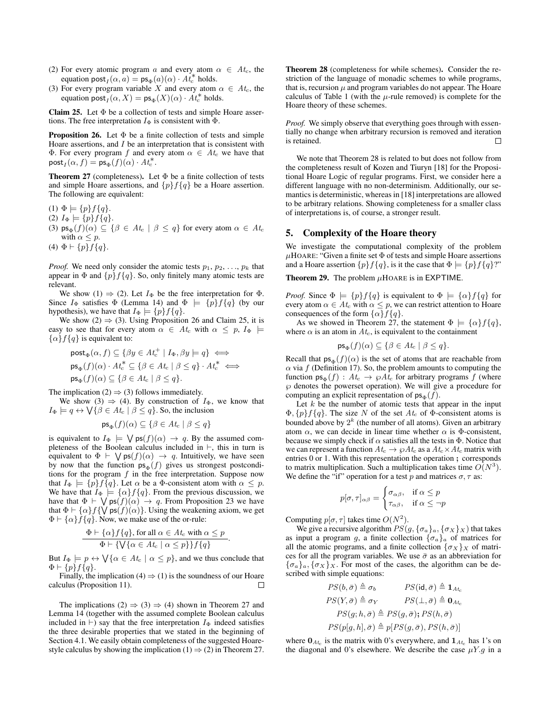- (2) For every atomic program a and every atom  $\alpha \in At_c$ , the equation  $post_I(\alpha, a) = ps_\Phi(a)(\alpha) \cdot At_c^*$  holds.
- (3) For every program variable X and every atom  $\alpha \in At_c$ , the equation  $\text{post}_I(\alpha, X) = \text{ps}_{\Phi}(X)(\alpha) \cdot At_c^*$  holds.

**Claim 25.** Let  $\Phi$  be a collection of tests and simple Hoare assertions. The free interpretation  $I_{\Phi}$  is consistent with  $\Phi$ .

**Proposition 26.** Let  $\Phi$  be a finite collection of tests and simple Hoare assertions, and  $I$  be an interpretation that is consistent with Φ. For every program f and every atom  $\alpha \in At_c$  we have that  $\text{post}_I(\alpha, f) = \text{ps}_{\Phi}(f)(\alpha) \cdot At_c^*.$ 

**Theorem 27** (completeness). Let  $\Phi$  be a finite collection of tests and simple Hoare assertions, and  $\{p\}f\{q\}$  be a Hoare assertion. The following are equivalent:

- (1)  $\Phi \models \{p\} f\{q\}.$
- (2)  $I_{\Phi} \models \{p\} f \{q\}.$
- (3)  $\mathsf{ps}_{\Phi}(f)(\alpha) \subseteq \{\beta \in At_c \mid \beta \leq q\}$  for every atom  $\alpha \in At_c$ with  $\alpha \leq p$ .
- (4)  $\Phi$   $\vdash$  {p}  $f$  {q}.

*Proof.* We need only consider the atomic tests  $p_1, p_2, \ldots, p_k$  that appear in  $\Phi$  and  $\{p\}f\{q\}$ . So, only finitely many atomic tests are relevant.

We show (1)  $\Rightarrow$  (2). Let  $I_{\Phi}$  be the free interpretation for  $\Phi$ . Since  $I_{\Phi}$  satisfies  $\Phi$  (Lemma 14) and  $\Phi$  =  $\{p\}f\{q\}$  (by our hypothesis), we have that  $I_{\Phi} \models \{p\} f \{q\}.$ 

We show (2)  $\Rightarrow$  (3). Using Proposition 26 and Claim 25, it is easy to see that for every atom  $\alpha \in At_c$  with  $\alpha \leq p$ ,  $I_{\Phi}$  =  $\{\alpha\}f\{q\}$  is equivalent to:

$$
\begin{aligned}\n\text{post}_{\Phi}(\alpha, f) &\subseteq \{\beta y \in At_c^+ \mid I_{\Phi}, \beta y \models q\} \iff \\
\text{ps}_{\Phi}(f)(\alpha) \cdot At_c^* &\subseteq \{\beta \in At_c \mid \beta \le q\} \cdot At_c^* \iff \\
\text{ps}_{\Phi}(f)(\alpha) &\subseteq \{\beta \in At_c \mid \beta \le q\}.\n\end{aligned}
$$

The implication (2)  $\Rightarrow$  (3) follows immediately.

We show (3)  $\Rightarrow$  (4). By construction of  $I_{\Phi}$ , we know that  $I_{\Phi} \models q \leftrightarrow \bigvee \{ \beta \in At_c \mid \beta \leq q \}.$  So, the inclusion

$$
\mathsf{ps}_{\Phi}(f)(\alpha) \subseteq \{\beta \in At_c \mid \beta \leq q\}
$$

is equivalent to  $I_{\Phi} \models \bigvee \mathsf{ps}(f)(\alpha) \rightarrow q$ . By the assumed completeness of the Boolean calculus included in  $\vdash$ , this in turn is equivalent to  $\Phi \vdash \bigvee p\mathsf{s}(f)(\alpha) \rightarrow q$ . Intuitively, we have seen by now that the function  $ps_{\Phi}(f)$  gives us strongest postconditions for the program  $f$  in the free interpretation. Suppose now that  $I_{\Phi} \models \{p\} f \{q\}$ . Let  $\alpha$  be a  $\Phi$ -consistent atom with  $\alpha \leq p$ . We have that  $I_{\Phi} \models {\alpha} f{q}$ . From the previous discussion, we have that  $\Phi \vdash \bigvee p\mathsf{s}(f)(\alpha) \rightarrow q$ . From Proposition 23 we have that  $\Phi \vdash {\{\alpha\}} f {\{\bigvee \mathsf{ps}(f)(\alpha)\}}$ . Using the weakening axiom, we get  $\Phi \vdash {\alpha}$   $\{q\}$ . Now, we make use of the or-rule:

$$
\frac{\Phi \vdash \{\alpha\}f\{q\}, \text{ for all } \alpha \in At_c \text{ with } \alpha \leq p}{\Phi \vdash \{\forall \{\alpha \in At_c \mid \alpha \leq p\}\}f\{q\}}.
$$

But  $I_{\Phi} \models p \leftrightarrow \bigvee \{\alpha \in At_c \mid \alpha \leq p\}$ , and we thus conclude that  $\Phi \vdash \{p\} f \{q\}.$ 

Finally, the implication (4)  $\Rightarrow$  (1) is the soundness of our Hoare calculus (Proposition 11).  $\Box$ 

The implications (2)  $\Rightarrow$  (3)  $\Rightarrow$  (4) shown in Theorem 27 and Lemma 14 (together with the assumed complete Boolean calculus included in  $\vdash$ ) say that the free interpretation  $I_{\Phi}$  indeed satisfies the three desirable properties that we stated in the beginning of Section 4.1. We easily obtain completeness of the suggested Hoarestyle calculus by showing the implication (1)  $\Rightarrow$  (2) in Theorem 27.

Theorem 28 (completeness for while schemes). Consider the restriction of the language of monadic schemes to while programs, that is, recursion  $\mu$  and program variables do not appear. The Hoare calculus of Table 1 (with the  $\mu$ -rule removed) is complete for the Hoare theory of these schemes.

*Proof.* We simply observe that everything goes through with essentially no change when arbitrary recursion is removed and iteration is retained.

We note that Theorem 28 is related to but does not follow from the completeness result of Kozen and Tiuryn [18] for the Propositional Hoare Logic of regular programs. First, we consider here a different language with no non-determinism. Additionally, our semantics is deterministic, whereas in [18] interpretations are allowed to be arbitrary relations. Showing completeness for a smaller class of interpretations is, of course, a stronger result.

## 5. Complexity of the Hoare theory

We investigate the computational complexity of the problem  $\mu$ HOARE: "Given a finite set  $\Phi$  of tests and simple Hoare assertions and a Hoare assertion  $\{p\}f\{q\}$ , is it the case that  $\Phi \models \{p\}f\{q\}$ ?"

**Theorem 29.** The problem  $\mu$ HOARE is in EXPTIME.

*Proof.* Since  $\Phi$   $\models$   $\{p\}f\{q\}$  is equivalent to  $\Phi$   $\models$   $\{\alpha\}f\{q\}$  for every atom  $\alpha \in At_c$  with  $\alpha \leq p$ , we can restrict attention to Hoare consequences of the form  $\{\alpha\}f\{q\}.$ 

As we showed in Theorem 27, the statement  $\Phi = {\alpha} f {q},$ where  $\alpha$  is an atom in  $At_c$ , is equivalent to the containment

$$
\mathsf{ps}_{\Phi}(f)(\alpha) \subseteq \{\beta \in At_c \mid \beta \leq q\}.
$$

Recall that  $ps_{\Phi}(f)(\alpha)$  is the set of atoms that are reachable from  $\alpha$  via f (Definition 17). So, the problem amounts to computing the function  $ps_{\Phi}(f)$ :  $At_c \rightarrow \wp At_c$  for arbitrary programs f (where ℘ denotes the powerset operation). We will give a procedure for computing an explicit representation of  $ps_{\Phi}(f)$ .

Let  $k$  be the number of atomic tests that appear in the input  $\Phi$ ,  $\{p\}f\{q\}$ . The size N of the set  $At_c$  of  $\Phi$ -consistent atoms is bounded above by  $2^k$  (the number of all atoms). Given an arbitrary atom  $\alpha$ , we can decide in linear time whether  $\alpha$  is  $\Phi$ -consistent, because we simply check if  $\alpha$  satisfies all the tests in  $\Phi$ . Notice that we can represent a function  $At_c \to \wp A t_c$  as a  $At_c \times At_c$  matrix with entries 0 or 1. With this representation the operation ; corresponds to matrix multiplication. Such a multiplication takes time  $\tilde{O}(N^3)$ . We define the "if" operation for a test p and matrices  $\sigma$ ,  $\tau$  as:

$$
p[\sigma, \tau]_{\alpha\beta} = \begin{cases} \sigma_{\alpha\beta}, & \text{if } \alpha \le p \\ \tau_{\alpha\beta}, & \text{if } \alpha \le -p \end{cases}
$$

Computing  $p[\sigma, \tau]$  takes time  $O(N^2)$ .

We give a recursive algorithm  $PS(g, {\{\sigma_a\}_a, {\{\sigma_X\}_X}})$  that takes as input a program g, a finite collection  $\{\sigma_a\}_a$  of matrices for all the atomic programs, and a finite collection  $\{\sigma_X\}_X$  of matrices for all the program variables. We use  $\bar{\sigma}$  as an abbreviation for  ${\{\sigma_a\}_a, {\{\sigma_X\}_X}$ . For most of the cases, the algorithm can be described with simple equations:

$$
PS(b, \bar{\sigma}) \triangleq \sigma_b
$$
  
\n
$$
PS(Y, \bar{\sigma}) \triangleq \sigma_Y
$$
  
\n
$$
PS(\mu, \bar{\sigma}) \triangleq \sigma_Y
$$
  
\n
$$
PS(g; h, \bar{\sigma}) \triangleq PS(g, \bar{\sigma}); PS(h, \bar{\sigma})
$$
  
\n
$$
PS(p[g, h], \bar{\sigma}) \triangleq p[PS(g, \bar{\sigma}), PS(h, \bar{\sigma})]
$$

where  $\mathbf{0}_{At_c}$  is the matrix with 0's everywhere, and  $\mathbf{1}_{At_c}$  has 1's on the diagonal and 0's elsewhere. We describe the case  $\mu Y.g$  in a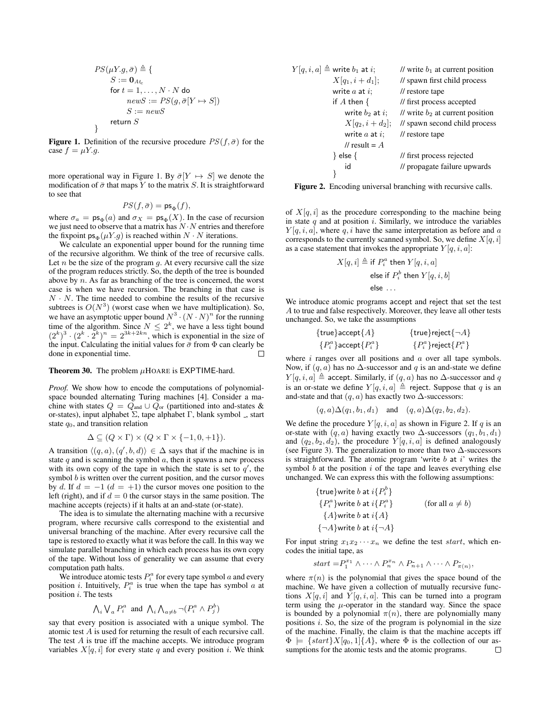$$
PS(\mu Y.g, \bar{\sigma}) \triangleq \{ \begin{aligned} S &:= \mathbf{0}_{At_c} \\ \text{for } t = 1, \dots, N \cdot N \text{ do} \\ newS &:= PS(g, \bar{\sigma}[Y \mapsto S]) \\ S &:= newS \\ \text{return } S \end{aligned} \}
$$

**Figure 1.** Definition of the recursive procedure  $PS(f, \bar{\sigma})$  for the case  $f = \mu Y.g.$ 

more operational way in Figure 1. By  $\bar{\sigma}[Y \mapsto S]$  we denote the modification of  $\bar{\sigma}$  that maps Y to the matrix S. It is straightforward to see that

$$
PS(f,\bar{\sigma})=\mathsf{ps}_{\Phi}(f),
$$

where  $\sigma_a = \mathsf{ps}_{\Phi}(a)$  and  $\sigma_X = \mathsf{ps}_{\Phi}(X)$ . In the case of recursion we just need to observe that a matrix has  $N \cdot N$  entries and therefore the fixpoint  $ps_{\Phi}(\mu Y. g)$  is reached within  $N \cdot N$  iterations.

We calculate an exponential upper bound for the running time of the recursive algorithm. We think of the tree of recursive calls. Let  $n$  be the size of the program  $g$ . At every recursive call the size of the program reduces strictly. So, the depth of the tree is bounded above by  $n$ . As far as branching of the tree is concerned, the worst case is when we have recursion. The branching in that case is  $N \cdot N$ . The time needed to combine the results of the recursive subtrees is  $O(N^3)$  (worst case when we have multiplication). So, we have an asymptotic upper bound  $N^3 \cdot (N \cdot N)^n$  for the running time of the algorithm. Since  $N \leq 2^k$ , we have a less tight bound  $(2<sup>k</sup>)<sup>3</sup> \cdot (2<sup>k</sup> \cdot 2<sup>k</sup>)<sup>n</sup> = 2<sup>3k+2kn</sup>$ , which is exponential in the size of the input. Calculating the initial values for  $\bar{\sigma}$  from  $\Phi$  can clearly be done in exponential time.  $\Box$ 

## **Theorem 30.** The problem  $\mu$ HOARE is EXPTIME-hard.

*Proof.* We show how to encode the computations of polynomialspace bounded alternating Turing machines [4]. Consider a machine with states  $Q = Q_{\text{and}} \cup Q_{\text{or}}$  (partitioned into and-states & or-states), input alphabet  $\Sigma$ , tape alphabet  $\Gamma$ , blank symbol  $\overline{\ }$ , start state  $q_0$ , and transition relation

$$
\Delta \subseteq (Q \times \Gamma) \times (Q \times \Gamma \times \{-1, 0, +1\}).
$$

A transition  $\langle (q, a), (q', b, d) \rangle \in \Delta$  says that if the machine is in state  $q$  and is scanning the symbol  $a$ , then it spawns a new process with its own copy of the tape in which the state is set to  $q'$ , the symbol  $b$  is written over the current position, and the cursor moves by d. If  $d = -1$   $(d = +1)$  the cursor moves one position to the left (right), and if  $d = 0$  the cursor stays in the same position. The machine accepts (rejects) if it halts at an and-state (or-state).

The idea is to simulate the alternating machine with a recursive program, where recursive calls correspond to the existential and universal branching of the machine. After every recursive call the tape is restored to exactly what it was before the call. In this way we simulate parallel branching in which each process has its own copy of the tape. Without loss of generality we can assume that every computation path halts.

We introduce atomic tests  $P_i^a$  for every tape symbol a and every position *i*. Intuitively,  $P_i^a$  is true when the tape has symbol *a* at position i. The tests

$$
\bigwedge_i \bigvee_a P_i^a
$$
 and  $\bigwedge_i \bigwedge_{a \neq b} \neg (P_i^a \land P_j^b)$ 

say that every position is associated with a unique symbol. The atomic test A is used for returning the result of each recursive call. The test A is true iff the machine accepts. We introduce program variables  $X[q, i]$  for every state q and every position i. We think

| $Y[q, i, a] \triangleq$ write $b_1$ at i; | // write $b_1$ at current position |
|-------------------------------------------|------------------------------------|
| $X[q_1, i + d_1];$                        | // spawn first child process       |
| write $a$ at $i$ ;                        | $\frac{1}{\sqrt{2}}$ restore tape  |
| if $A$ then $\{$                          | // first process accepted          |
| write $b_2$ at i;                         | // write $b_2$ at current position |
| $X[q_2, i + d_2];$                        | // spawn second child process      |
| write $a$ at $i$ ;                        | $\frac{1}{\sqrt{2}}$ restore tape  |
| // result = $A$                           |                                    |
| $\}$ else $\{$                            | // first process rejected          |
| id                                        | // propagate failure upwards       |
|                                           |                                    |

Figure 2. Encoding universal branching with recursive calls.

of  $X[q, i]$  as the procedure corresponding to the machine being in state  $q$  and at position  $i$ . Similarly, we introduce the variables  $Y[q, i, a]$ , where q, i have the same interpretation as before and a corresponds to the currently scanned symbol. So, we define  $X[q, i]$ as a case statement that invokes the appropriate  $Y[q, i, a]$ :

$$
X[q, i] \triangleq \text{if } P_i^a \text{ then } Y[q, i, a]
$$
  
else if  $P_i^b$  then  $Y[q, i, b]$   
else ...

We introduce atomic programs accept and reject that set the test A to true and false respectively. Moreover, they leave all other tests unchanged. So, we take the assumptions

$$
\begin{array}{ll}\n\{\mathsf{true}\}\mathsf{accept}\{A\} & \{\mathsf{true}\}\mathsf{reject}\{\neg A\} \\
\{P_i^a\}\mathsf{accept}\{P_i^a\} & \{P_i^a\}\mathsf{reject}\{P_i^a\}\n\end{array}
$$

where  $i$  ranges over all positions and  $a$  over all tape symbols. Now, if  $(q, a)$  has no  $\Delta$ -successor and q is an and-state we define  $Y[q, i, a] \triangleq$  accept. Similarly, if  $(q, a)$  has no  $\Delta$ -successor and q is an or-state we define  $Y[q, i, a] \triangleq$  reject. Suppose that q is an and-state and that  $(q, a)$  has exactly two  $\Delta$ -successors:

$$
(q, a) \Delta(q_1, b_1, d_1)
$$
 and  $(q, a) \Delta(q_2, b_2, d_2)$ .

We define the procedure  $Y[q, i, a]$  as shown in Figure 2. If q is an or-state with  $(q, a)$  having exactly two  $\Delta$ -successors  $(q_1, b_1, d_1)$ and  $(q_2, b_2, d_2)$ , the procedure  $Y[q, i, a]$  is defined analogously (see Figure 3). The generalization to more than two ∆-successors is straightforward. The atomic program 'write  $b$  at  $i$ ' writes the symbol  $b$  at the position  $i$  of the tape and leaves everything else unchanged. We can express this with the following assumptions:

{true}write 
$$
b
$$
 at  $i\{P_i^b\}$   
{ $P_i^a$ }write  $b$  at  $i\{P_i^a\}$  (for all  $a \neq b$ )  
{ $A$ }write  $b$  at  $i\{A\}$   
{ $\neg A$ }write  $b$  at  $i\{\neg A\}$ 

 $\mathbf{L}$ 

For input string  $x_1x_2 \cdots x_n$  we define the test start, which encodes the initial tape, as

$$
start = P_1^{x_1} \wedge \cdots \wedge P_n^{x_n} \wedge P_{n+1} \wedge \cdots \wedge P_{n(n)},
$$

where  $\pi(n)$  is the polynomial that gives the space bound of the machine. We have given a collection of mutually recursive functions  $X[q, i]$  and  $Y[q, i, a]$ . This can be turned into a program term using the  $\mu$ -operator in the standard way. Since the space is bounded by a polynomial  $\pi(n)$ , there are polynomially many positions  $i$ . So, the size of the program is polynomial in the size of the machine. Finally, the claim is that the machine accepts iff  $\Phi$   $\models$  {start}X[q<sub>0</sub>, 1]{A}, where  $\Phi$  is the collection of our assumptions for the atomic tests and the atomic programs.  $\Box$